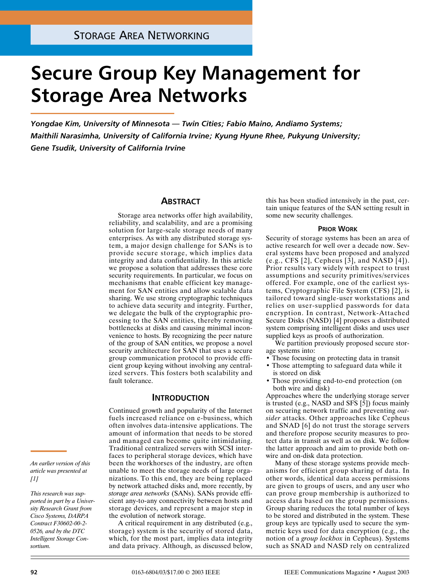# **Secure Group Key Management for Storage Area Networks**

*Yongdae Kim, University of Minnesota — Twin Cities; Fabio Maino, Andiamo Systems; Maithili Narasimha, University of California Irvine; Kyung Hyune Rhee, Pukyung University; Gene Tsudik, University of California Irvine*

## **ABSTRACT**

Storage area networks offer high availability, reliability, and scalability, and are a promising solution for large-scale storage needs of many enterprises. As with any distributed storage system, a major design challenge for SANs is to provide secure storage, which implies data integrity and data confidentiality. In this article we propose a solution that addresses these core security requirements. In particular, we focus on mechanisms that enable efficient key management for SAN entities and allow scalable data sharing. We use strong cryptographic techniques to achieve data security and integrity. Further, we delegate the bulk of the cryptographic processing to the SAN entities, thereby removing bottlenecks at disks and causing minimal inconvenience to hosts. By recognizing the peer nature of the group of SAN entities, we propose a novel security architecture for SAN that uses a secure group communication protocol to provide efficient group keying without involving any centralized servers. This fosters both scalability and fault tolerance.

## **INTRODUCTION**

Continued growth and popularity of the Internet fuels increased reliance on e-business, which often involves data-intensive applications. The amount of information that needs to be stored and managed can become quite intimidating. Traditional centralized servers with SCSI interfaces to peripheral storage devices, which have been the workhorses of the industry, are often unable to meet the storage needs of large organizations. To this end, they are being replaced by network attached disks and, more recently, by *storage area networks* (SANs). SANs provide efficient any-to-any connectivity between hosts and storage devices, and represent a major step in the evolution of network storage.

A critical requirement in any distributed (e.g., storage) system is the security of stored data, which, for the most part, implies data integrity and data privacy. Although, as discussed below, this has been studied intensively in the past, certain unique features of the SAN setting result in some new security challenges.

#### **PRIOR WORK**

Security of storage systems has been an area of active research for well over a decade now. Several systems have been proposed and analyzed  $(e.g., CFS [2], Cepheus [3], and NASD [4]).$ Prior results vary widely with respect to trust assumptions and security primitives/services offered. For example, one of the earliest systems, Cryptographic File System (CFS) [2], is tailored toward single-user workstations and relies on user-supplied passwords for data encryption. In contrast, Network-Attached Secure Disks (NASD) [4] proposes a distributed system comprising intelligent disks and uses user supplied keys as proofs of authorization.

We partition previously proposed secure storage systems into:

- Those focusing on protecting data in transit
- Those attempting to safeguard data while it is stored on disk
- Those providing end-to-end protection (on both wire and disk)

Approaches where the underlying storage server is trusted (e.g., NASD and SFS [5]) focus mainly on securing network traffic and preventing *outsider* attacks. Other approaches like Cepheus and SNAD [6] do not trust the storage servers and therefore propose security measures to protect data in transit as well as on disk. We follow the latter approach and aim to provide both onwire and on-disk data protection.

Many of these storage systems provide mechanisms for efficient group sharing of data. In other words, identical data access permissions are given to groups of users, and any user who can prove group membership is authorized to access data based on the group permissions. Group sharing reduces the total number of keys to be stored and distributed in the system. These group keys are typically used to secure the symmetric keys used for data encryption (e.g., the notion of a *group lockbox* in Cepheus). Systems such as SNAD and NASD rely on centralized

*An earlier version of this article was presented at [1]*

*This research was supported in part by a University Research Grant from Cisco Systems, DARPA Contract F30602-00-2- 0526, and by the DTC Intelligent Storage Consortium.*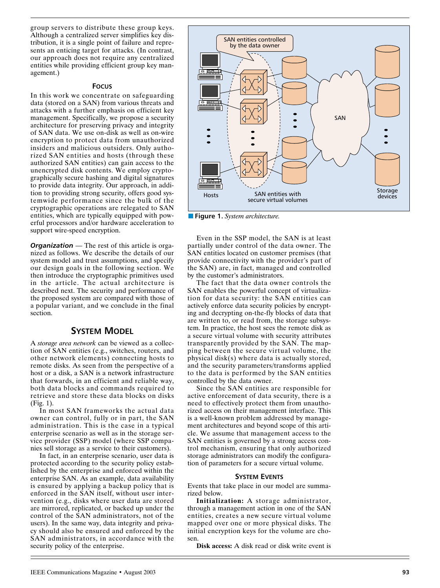group servers to distribute these group keys. Although a centralized server simplifies key distribution, it is a single point of failure and represents an enticing target for attacks. (In contrast, our approach does not require any centralized entities while providing efficient group key management.)

#### **FOCUS**

In this work we concentrate on safeguarding data (stored on a SAN) from various threats and attacks with a further emphasis on efficient key management. Specifically, we propose a security architecture for preserving privacy and integrity of SAN data. We use on-disk as well as on-wire encryption to protect data from unauthorized insiders and malicious outsiders. Only authorized SAN entities and hosts (through these authorized SAN entities) can gain access to the unencrypted disk contents. We employ cryptographically secure hashing and digital signatures to provide data integrity. Our approach, in addition to providing strong security, offers good systemwide performance since the bulk of the cryptographic operations are relegated to SAN entities, which are typically equipped with powerful processors and/or hardware acceleration to support wire-speed encryption.

*Organization* — The rest of this article is organized as follows. We describe the details of our system model and trust assumptions, and specify our design goals in the following section. We then introduce the cryptographic primitives used in the article. The actual architecture is described next. The security and performance of the proposed system are compared with those of a popular variant, and we conclude in the final section.

## **SYSTEM MODEL**

A *storage area network* can be viewed as a collection of SAN entities (e.g., switches, routers, and other network elements) connecting hosts to remote disks. As seen from the perspective of a host or a disk, a SAN is a network infrastructure that forwards, in an efficient and reliable way, both data blocks and commands required to retrieve and store these data blocks on disks (Fig. 1).

In most SAN frameworks the actual data owner can control, fully or in part, the SAN administration. This is the case in a typical enterprise scenario as well as in the storage service provider (SSP) model (where SSP companies sell storage as a service to their customers).

In fact, in an enterprise scenario, user data is protected according to the security policy established by the enterprise and enforced within the enterprise SAN. As an example, data availability is ensured by applying a backup policy that is enforced in the SAN itself, without user intervention (e.g., disks where user data are stored are mirrored, replicated, or backed up under the control of the SAN administrators, not of the users). In the same way, data integrity and privacy should also be ensured and enforced by the SAN administrators, in accordance with the security policy of the enterprise.



■ **Figure 1.** *System architecture.*

Even in the SSP model, the SAN is at least partially under control of the data owner. The SAN entities located on customer premises (that provide connectivity with the provider's part of the SAN) are, in fact, managed and controlled by the customer's administrators.

The fact that the data owner controls the SAN enables the powerful concept of virtualization for data security: the SAN entities can actively enforce data security policies by encrypting and decrypting on-the-fly blocks of data that are written to, or read from, the storage subsystem. In practice, the host sees the remote disk as a secure virtual volume with security attributes transparently provided by the SAN. The mapping between the secure virtual volume, the physical disk(s) where data is actually stored, and the security parameters/transforms applied to the data is performed by the SAN entities controlled by the data owner.

Since the SAN entities are responsible for active enforcement of data security, there is a need to effectively protect them from unauthorized access on their management interface. This is a well-known problem addressed by management architectures and beyond scope of this article. We assume that management access to the SAN entities is governed by a strong access control mechanism, ensuring that only authorized storage administrators can modify the configuration of parameters for a secure virtual volume.

#### **SYSTEM EVENTS**

Events that take place in our model are summarized below.

**Initialization:** A storage administrator, through a management action in one of the SAN entities, creates a new secure virtual volume mapped over one or more physical disks. The initial encryption keys for the volume are chosen.

**Disk access:** A disk read or disk write event is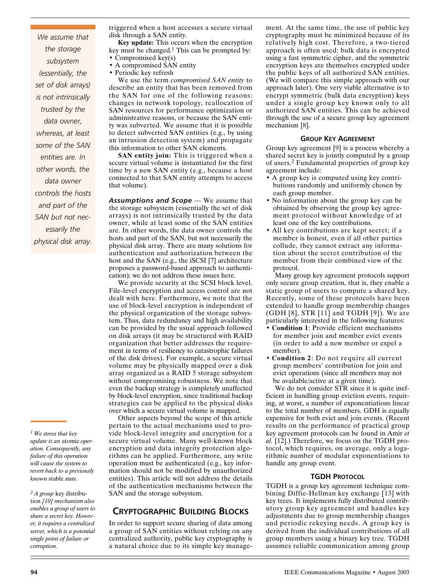*We assume that the storage subsystem (essentially, the set of disk arrays) is not intrinsically trusted by the data owner, whereas, at least some of the SAN entities are. In other words, the data owner controls the hosts and part of the SAN but not necessarily the physical disk array.*

*<sup>1</sup> We stress that key update is an* atomic *operation. Consequently, any failure of this operation will cause the system to revert back to a previously known* stable *state.*

*<sup>2</sup> A group* key distribution *[10] mechanism also enables a group of users to share a secret key. However, it requires a centralized server, which is a potential single point of failure or corruption.*

triggered when a host accesses a secure virtual disk through a SAN entity.

**Key update:** This occurs when the encryption key must be changed.1 This can be prompted by:

- Compromised key(s)
- A compromised SAN entity
- Periodic key refresh

We use the term *compromised SAN entity* to describe an entity that has been removed from the SAN for one of the following reasons: changes in network topology, reallocation of SAN resources for performance optimization or administrative reasons, or because the SAN entity was subverted. We assume that it is possible to detect subverted SAN entities (e.g., by using an intrusion detection system) and propagate this information to other SAN elements.

**SAN entity join:** This is triggered when a secure virtual volume is instantiated for the first time by a new SAN entity (e.g., because a host connected to that SAN entity attempts to access that volume).

*Assumptions and Scope* — We assume that the storage subsystem (essentially the set of disk arrays) is not intrinsically trusted by the data owner, while at least some of the SAN entities are. In other words, the data owner controls the hosts and part of the SAN, but not necessarily the physical disk array. There are many solutions for authentication and authorization between the host and the SAN (e.g., the iSCSI [7] architecture proposes a password-based approach to authentication); we do not address these issues here.

We provide security at the SCSI block level. File-level encryption and access control are not dealt with here. Furthermore, we note that the use of block-level encryption is independent of the physical organization of the storage subsystem. Thus, data redundancy and high availability can be provided by the usual approach followed on disk arrays (it may be structured with RAID organization that better addresses the requirement in terms of resiliency to catastrophic failures of the disk drives). For example, a secure virtual volume may be physically mapped over a disk array organized as a RAID 5 storage subsystem without compromising robustness. We note that even the backup strategy is completely unaffected by block-level encryption, since traditional backup strategies can be applied to the physical disks over which a secure virtual volume is mapped.

Other aspects beyond the scope of this article pertain to the actual mechanisms used to provide block-level integrity and encryption for a secure virtual volume. Many well-known block encryption and data integrity protection algorithms can be applied. Furthermore, any write operation must be authenticated (e.g., key information should not be modified by unauthorized entities). This article will not address the details of the authentication mechanisms between the SAN and the storage subsystem.

# **CRYPTOGRAPHIC BUILDING BLOCKS**

In order to support secure sharing of data among a group of SAN entities without relying on any centralized authority, public key cryptography is a natural choice due to its simple key management. At the same time, the use of public key cryptography must be minimized because of its relatively high cost. Therefore, a two-tiered approach is often used: bulk data is encrypted using a fast symmetric cipher, and the symmetric encryption keys are themselves encrypted under the public keys of all authorized SAN entities. (We will compare this simple approach with our approach later). One very viable alternative is to encrypt symmetric (bulk data encryption) keys under a single group key known only to all authorized SAN entities. This can be achieved through the use of a secure group key agreement mechanism [8].

#### **GROUP KEY AGREEMENT**

Group key agreement [9] is a process whereby a shared secret key is jointly computed by a group of users.2 Fundamental properties of group key agreement include:

- A group key is computed using key contributions randomly and uniformly chosen by each group member.
- No information about the group key can be obtained by observing the group key agreement protocol without knowledge of at least one of the key contributions.
- All key contributions are kept secret; if a member is honest, even if all other parties collude, they cannot extract any information about the secret contribution of the member from their combined view of the protocol.

Many group key agreement protocols support only secure group creation, that is, they enable a static group of users to compute a shared key. Recently, some of these protocols have been extended to handle group membership changes (GDH [8], STR [11] and TGDH [9]). We are particularly interested in the following features:

- **Condition 1**: Provide efficient mechanisms for member join and member evict events (in order to add a new member or expel a member).
- **Condition 2**: Do not require all current group members' contribution for join and evict operations (since all members may not be available/active at a given time).

We do not consider STR since it is quite inefficient in handling group eviction events, requiring, at worst, a number of exponentiations linear to the total number of members. GDH is equally expensive for both evict and join events. (Recent results on the performance of practical group key agreement protocols can be found in Amir *et al.* [12].) Therefore, we focus on the TGDH protocol, which requires, on average, only a logarithmic number of modular exponentiations to handle any group event.

## **TGDH PROTOCOL**

TGDH is a group key agreement technique combining Diffie-Hellman key exchange [13] with key trees. It implements fully distributed contributory group key agreement and handles key adjustments due to group membership changes and periodic rekeying needs. A group key is derived from the individual contributions of all group members using a binary key tree. TGDH assumes reliable communication among group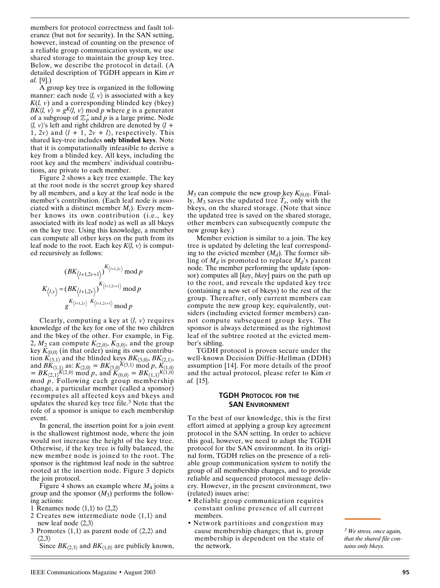members for protocol correctness and fault tolerance (but not for security). In the SAN setting, however, instead of counting on the presence of a reliable group communication system, we use shared storage to maintain the group key tree. Below, we describe the protocol in detail. (A detailed description of TGDH appears in Kim *et al.* [9].)

A group key tree is organized in the following manner: each node  $\langle l, v \rangle$  is associated with a key *K*(*l, v*) and a corresponding blinded key (bkey)  $BK\langle l, v \rangle = g^K\langle l, v \rangle$  mod *p* where *g* is a generator of a subgroup of  $\mathbb{Z}_p^*$  and p is a large prime. Node  $\langle l, v \rangle$ 's left and right children are denoted by  $\langle l + \rangle$ 1,  $2v$  and  $\langle l + 1, 2v + l \rangle$ , respectively. This shared key-tree includes **only blinded keys**. Note that it is computationally infeasible to derive a key from a blinded key. All keys, including the root key and the members' individual contributions, are private to each member.

Figure 2 shows a key tree example. The key at the root node is the secret group key shared by all members, and a key at the leaf node is the member's contribution. (Each leaf node is associated with a distinct member  $M_i$ ). Every member knows its own contribution (i.e., key associated with its leaf node) as well as all bkeys on the key tree. Using this knowledge, a member can compute all other keys on the path from its leaf node to the root. Each key  $K\langle l, v \rangle$  is computed recursively as follows:

$$
(BK_{\langle l+1,2\nu+1\rangle})^{K_{\langle l+1,2\nu\rangle}} \mod p
$$
  

$$
K_{\langle l,\nu\rangle} = (BK_{\langle l+1,2\nu\rangle})^{K_{\langle l+1,2\nu+1\rangle}} \mod p
$$
  

$$
g^{K_{\langle l+1,2\nu\rangle} \ K_{\langle l+1,2\nu+1\rangle}} \mod p
$$

Clearly, computing a key at  $\langle l, v \rangle$  requires knowledge of the key for one of the two children and the bkey of the other. For example, in Fig. 2,  $M_2$  can compute  $K_{(2,0)}$ ,  $K_{(1,0)}$ , and the group key  $K_{(0,0)}$  (in that order) using its own contribution  $K_{\langle 3,1\rangle}$  and the blinded keys  $BK_{\langle 3,0\rangle}$ ,  $BK_{\langle 2,1\rangle}$ , and  $BK_{\langle 1,1\rangle}$  as:  $K_{\langle 2,0\rangle} = BK_{\langle 3,0\rangle}^{K_{\langle 3,1\rangle}}$  mod p,  $K_{\langle 1,0\rangle}$  $= BK_{(2,1)}K_{(2,0)} \text{ mod } p$ , and  $K_{(0,0)} = BK_{(1,1)}K_{(1,0)}$ mod *p*. Following each group membership change, a particular member (called a sponsor) recomputes all affected keys and bkeys and updates the shared key tree file.3 Note that the role of a sponsor is unique to each membership event.

In general, the insertion point for a join event is the shallowest rightmost node, where the join would not increase the height of the key tree. Otherwise, if the key tree is fully balanced, the new member node is joined to the root. The sponsor is the rightmost leaf node in the subtree rooted at the insertion node. Figure 3 depicts the join protocol.

Figure 4 shows an example where  $M_4$  joins a group and the sponsor  $(M_3)$  performs the following actions:

- 1 Renames node  $\langle 1,1 \rangle$  to  $\langle 2,2 \rangle$
- 2 Creates new intermediate node  $\langle 1,1 \rangle$  and new leaf node 〈2,3〉
- 3 Promotes  $\langle 1,1 \rangle$  as parent node of  $\langle 2,2 \rangle$  and  $\langle 2,3 \rangle$

Since  $BK_{\langle 2,3\rangle}$  and  $BK_{\langle 1,0\rangle}$  are publicly known,

 $M_3$  can compute the new group key  $K_{(0,0)}$ . Finally,  $M_3$  saves the updated tree  $\hat{T}_s$ , only with the bkeys, on the shared storage. (Note that since the updated tree is saved on the shared storage, other members can subsequently compute the new group key.)

Member eviction is similar to a join. The key tree is updated by deleting the leaf corresponding to the evicted member  $(M_d)$ . The former sibling of  $M_d$  is promoted to replace  $M_d$ 's parent node. The member performing the update (sponsor) computes all [*key*, *bkey*] pairs on the path up to the root, and reveals the updated key tree (containing a new set of bkeys) to the rest of the group. Thereafter, only current members can compute the new group key; equivalently, outsiders (including evicted former members) cannot compute subsequent group keys. The sponsor is always determined as the rightmost leaf of the subtree rooted at the evicted member's sibling.

TGDH protocol is proven secure under the well-known Decision Diffie-Hellman (DDH) assumption [14]. For more details of the proof and the actual protocol, please refer to Kim *et al.* [15].

## **TGDH PROTOCOL FOR THE SAN ENVIRONMENT**

To the best of our knowledge, this is the first effort aimed at applying a group key agreement protocol in the SAN setting. In order to achieve this goal, however, we need to adapt the TGDH protocol for the SAN environment. In its original form, TGDH relies on the presence of a reliable group communication system to notify the group of all membership changes, and to provide reliable and sequenced protocol message delivery. However, in the present environment, two (related) issues arise:

- Reliable group communication requires constant online presence of all current members.
- Network partitions and congestion may cause membership changes; that is, group membership is dependent on the state of the network.

*<sup>3</sup> We stress, once again, that the shared file contains only bkeys.*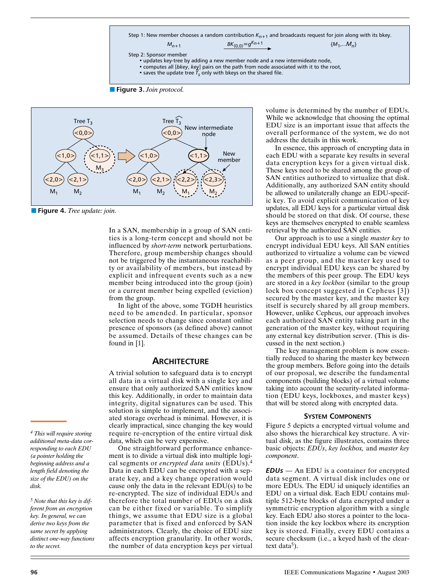





■ **Figure 4.** *Tree update: join.*

In a SAN, membership in a group of SAN entities is a long-term concept and should not be influenced by *short-term* network perturbations. Therefore, group membership changes should not be triggered by the instantaneous reachability or availability of members, but instead by explicit and infrequent events such as a new member being introduced into the group (join) or a current member being expelled (eviction) from the group.

In light of the above, some TGDH heuristics need to be amended. In particular, sponsor selection needs to change since constant online presence of sponsors (as defined above) cannot be assumed. Details of these changes can be found in [1].

### **ARCHITECTURE**

A trivial solution to safeguard data is to encrypt all data in a virtual disk with a single key and ensure that only authorized SAN entities know this key. Additionally, in order to maintain data integrity, digital signatures can be used. This solution is simple to implement, and the associated storage overhead is minimal. However, it is clearly impractical, since changing the key would require re-encryption of the entire virtual disk data, which can be very expensive.

One straightforward performance enhancement is to divide a virtual disk into multiple logical segments or *encrypted data units* (EDUs).4 Data in each EDU can be encrypted with a separate key, and a key change operation would cause only the data in the relevant EDU(s) to be re-encrypted. The size of individual EDUs and therefore the total number of EDUs on a disk can be either fixed or variable. To simplify things, we assume that EDU size is a global parameter that is fixed and enforced by SAN administrators. Clearly, the choice of EDU size affects encryption granularity. In other words, the number of data encryption keys per virtual volume is determined by the number of EDUs. While we acknowledge that choosing the optimal EDU size is an important issue that affects the overall performance of the system, we do not address the details in this work.

In essence, this approach of encrypting data in each EDU with a separate key results in several data encryption keys for a given virtual disk. These keys need to be shared among the group of SAN entities authorized to virtualize that disk. Additionally, any authorized SAN entity should be allowed to unilaterally change an EDU-specific key. To avoid explicit communication of key updates, all EDU keys for a particular virtual disk should be stored on that disk. Of course, these keys are themselves encrypted to enable seamless retrieval by the authorized SAN entities.

Our approach is to use a single *master key* to encrypt individual EDU keys. All SAN entities authorized to virtualize a volume can be viewed as a peer group, and the master key used to encrypt individual EDU keys can be shared by the members of this peer group. The EDU keys are stored in a *key lockbox* (similar to the group lock box concept suggested in Cepheus [3]) secured by the master key, and the master key itself is securely shared by all group members. However, unlike Cepheus, our approach involves each authorized SAN entity taking part in the generation of the master key, without requiring any external key distribution server. (This is discussed in the next section.)

The key management problem is now essentially reduced to sharing the master key between the group members. Before going into the details of our proposal, we describe the fundamental components (building blocks) of a virtual volume taking into account the security-related information (EDU keys, lockboxes, and master keys) that will be stored along with encrypted data.

#### **SYSTEM COMPONENTS**

Figure 5 depicts a encrypted virtual volume and also shows the hierarchical key structure. A virtual disk, as the figure illustrates, contains three basic objects: *EDUs*, *key lockbox,* and *master key component*.

*EDUs* — An EDU is a container for encrypted data segment. A virtual disk includes one or more EDUs. The EDU id uniquely identifies an EDU on a virtual disk. Each EDU contains multiple 512-byte blocks of data encrypted under a symmetric encryption algorithm with a single key. Each EDU also stores a pointer to the location inside the key lockbox where its encryption key is stored. Finally, every EDU contains a secure checksum (i.e., a keyed hash of the cleartext data<sup>5</sup>).

*<sup>4</sup> This will require storing additional meta-data corresponding to each EDU (a pointer holding the beginning address and a length field denoting the size of the EDU) on the disk.*

*<sup>5</sup> Note that this key is different from an encryption key. In general, we can derive two keys from the same secret by applying distinct one-way functions to the secret.*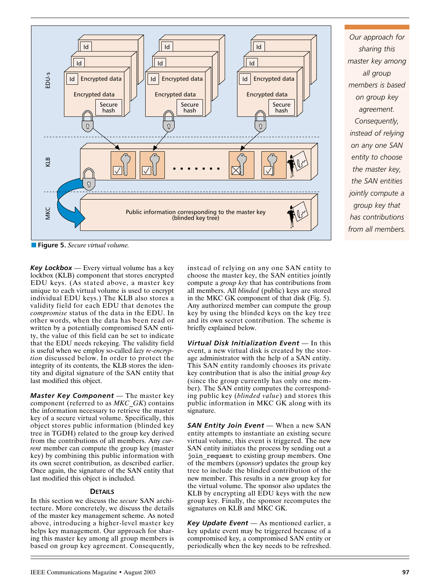

*Our approach for sharing this master key among all group members is based on group key agreement. Consequently, instead of relying on any one SAN entity to choose the master key, the SAN entities jointly compute a group key that has contributions from all members.*

■ **Figure 5.** *Secure virtual volume.*

*Key Lockbox* — Every virtual volume has a key lockbox (KLB) component that stores encrypted EDU keys. (As stated above, a master key unique to each virtual volume is used to encrypt individual EDU keys.) The KLB also stores a validity field for each EDU that denotes the *compromise* status of the data in the EDU. In other words, when the data has been read or written by a potentially compromised SAN entity, the value of this field can be set to indicate that the EDU needs rekeying. The validity field is useful when we employ so-called *lazy re-encryption* discussed below. In order to protect the integrity of its contents, the KLB stores the identity and digital signature of the SAN entity that last modified this object.

*Master Key Component* — The master key component (referred to as *MKC\_GK*) contains the information necessary to retrieve the master key of a secure virtual volume. Specifically, this object stores public information (blinded key tree in TGDH) related to the group key derived from the contributions of all members. Any *current* member can compute the group key (master key) by combining this public information with its own secret contribution, as described earlier. Once again, the signature of the SAN entity that last modified this object is included.

## **DETAILS**

In this section we discuss the *secure* SAN architecture. More concretely, we discuss the details of the master key management scheme. As noted above, introducing a higher-level master key helps key management. Our approach for sharing this master key among all group members is based on group key agreement. Consequently,

instead of relying on any one SAN entity to choose the master key, the SAN entities jointly compute a *group key* that has contributions from all members. All *blinded* (public) keys are stored in the MKC GK component of that disk (Fig. 5). Any authorized member can compute the group key by using the blinded keys on the key tree and its own secret contribution. The scheme is briefly explained below.

*Virtual Disk Initialization Event* — In this event, a new virtual disk is created by the storage administrator with the help of a SAN entity. This SAN entity randomly chooses its private key contribution that is also the initial *group key* (since the group currently has only one member). The SAN entity computes the corresponding public key (*blinded value*) and stores this public information in MKC GK along with its signature.

*SAN Entity Join Event* — When a new SAN entity attempts to instantiate an existing secure virtual volume, this event is triggered. The new SAN entity initiates the process by sending out a join\_request to existing group members. One of the members (*sponsor*) updates the group key tree to include the blinded contribution of the new member. This results in a new group key for the virtual volume. The sponsor also updates the KLB by encrypting all EDU keys with the new group key. Finally, the sponsor recomputes the signatures on KLB and MKC GK.

*Key Update Event* — As mentioned earlier, a key update event may be triggered because of a compromised key, a compromised SAN entity or periodically when the key needs to be refreshed.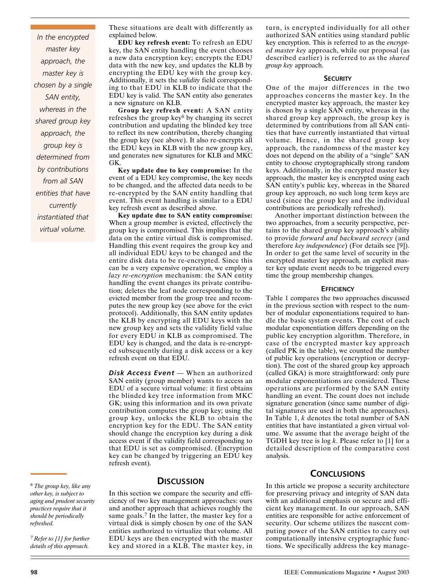*In the encrypted master key approach, the master key is chosen by a single SAN entity, whereas in the shared group key approach, the group key is determined from by contributions from all SAN entities that have currently instantiated that virtual volume.*

*<sup>6</sup> The group key, like any other key, is subject to aging and prudent security practices require that it should be periodically refreshed.*

*<sup>7</sup> Refer to [1] for further details of this approach.*

These situations are dealt with differently as explained below.

**EDU key refresh event:** To refresh an EDU key, the SAN entity handling the event chooses a new data encryption key; encrypts the EDU data with the new key, and updates the KLB by encrypting the EDU key with the group key. Additionally, it sets the *validity* field corresponding to that EDU in KLB to indicate that the EDU key is valid. The SAN entity also generates a new signature on KLB.

**Group key refresh event:** A SAN entity refreshes the group key6 by changing its secret contribution and updating the blinded key tree to reflect its new contribution, thereby changing the group key (see above). It also re-encrypts all the EDU keys in KLB with the new group key, and generates new signatures for KLB and MKC GK.

**Key update due to key compromise:** In the event of a EDU key compromise, the key needs to be changed, and the affected data needs to be re-encrypted by the SAN entity handling that event. This event handling is similar to a EDU key refresh event as described above.

**Key update due to SAN entity compromise:** When a group member is evicted, effectively the group key is compromised. This implies that the data on the entire virtual disk is compromised. Handling this event requires the group key and all individual EDU keys to be changed and the entire disk data to be re-encrypted. Since this can be a very expensive operation, we employ a *lazy re-encryption* mechanism: the SAN entity handling the event changes its private contribution; deletes the leaf node corresponding to the evicted member from the group tree and recomputes the new group key (see above for the evict protocol). Additionally, this SAN entity updates the KLB by encrypting all EDU keys with the new group key and sets the validity field value for every EDU in KLB as compromised. The EDU key is changed, and the data is re-encrypted subsequently during a disk access or a key refresh event on that EDU.

*Disk Access Event* — When an authorized SAN entity (group member) wants to access an EDU of a secure virtual volume: it first obtains the blinded key tree information from MKC GK; using this information and its own private contribution computes the group key; using the group key, unlocks the KLB to obtain the encryption key for the EDU. The SAN entity should change the encryption key during a disk access event if the validity field corresponding to that EDU is set as compromised. (Encryption key can be changed by triggering an EDU key refresh event).

## **DISCUSSION**

In this section we compare the security and efficiency of two key management approaches: ours and another approach that achieves roughly the same goals.<sup>7</sup> In the latter, the master key for a virtual disk is simply chosen by one of the SAN entities authorized to virtualize that volume. All EDU keys are then encrypted with the master key and stored in a KLB. The master key, in turn, is encrypted individually for all other authorized SAN entities using standard public key encryption. This is referred to as the *encrypted master key* approach, while our proposal (as described earlier) is referred to as the *shared group key* approach.

#### **SECURITY**

One of the major differences in the two approaches concerns the master key. In the encrypted master key approach, the master key is chosen by a single SAN entity, whereas in the shared group key approach, the group key is determined by contributions from all SAN entities that have currently instantiated that virtual volume. Hence, in the shared group key approach, the randomness of the master key does not depend on the ability of a "single" SAN entity to choose cryptographically strong random keys. Additionally, in the encrypted master key approach, the master key is encrypted using each SAN entity's public key, whereas in the Shared group key approach, no such long term keys are used (since the group key and the individual contributions are periodically refreshed).

Another important distinction between the two approaches, from a security perspective, pertains to the shared group key approach's ability to provide *forward and backward secrecy* (and therefore *key independence*) (For details see [9]). In order to get the same level of security in the encrypted master key approach, an explicit master key update event needs to be triggered every time the group membership changes.

#### **EFFICIENCY**

Table 1 compares the two approaches discussed in the previous section with respect to the number of modular exponentiations required to handle the basic system events. The cost of each modular exponentiation differs depending on the public key encryption algorithm. Therefore, in case of the encrypted master key approach (called PK in the table), we counted the number of public key operations (encryption or decryption). The cost of the shared group key approach (called GKA) is more straightforward: only pure modular exponentiations are considered. These operations are performed by the SAN entity handling an event. The count does not include signature generation (since same number of digital signatures are used in both the approaches). In Table 1, *k* denotes the total number of SAN entities that have instantiated a given virtual volume. We assume that the average height of the TGDH key tree is log *k*. Please refer to [1] for a detailed description of the comparative cost analysis.

# **CONCLUSIONS**

In this article we propose a security architecture for preserving privacy and integrity of SAN data with an additional emphasis on secure and efficient key management. In our approach, SAN entities are responsible for active enforcement of security. Our scheme utilizes the nascent computing power of the SAN entities to carry out computationally intensive cryptographic functions. We specifically address the key manage-